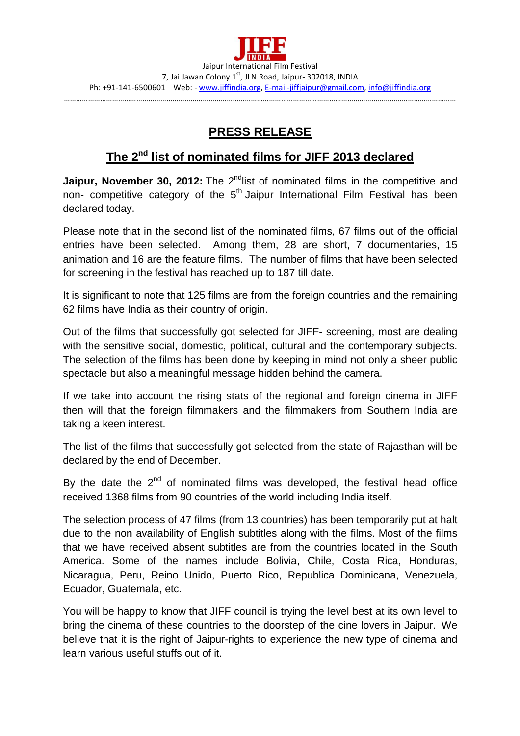## **PRESS RELEASE**

## **The 2nd list of nominated films for JIFF 2013 declared**

**Jaipur, November 30, 2012:** The 2<sup>nd</sup>list of nominated films in the competitive and non- competitive category of the 5<sup>th</sup> Jaipur International Film Festival has been declared today.

Please note that in the second list of the nominated films, 67 films out of the official entries have been selected. Among them, 28 are short, 7 documentaries, 15 animation and 16 are the feature films. The number of films that have been selected for screening in the festival has reached up to 187 till date.

It is significant to note that 125 films are from the foreign countries and the remaining 62 films have India as their country of origin.

Out of the films that successfully got selected for JIFF- screening, most are dealing with the sensitive social, domestic, political, cultural and the contemporary subjects. The selection of the films has been done by keeping in mind not only a sheer public spectacle but also a meaningful message hidden behind the camera.

If we take into account the rising stats of the regional and foreign cinema in JIFF then will that the foreign filmmakers and the filmmakers from Southern India are taking a keen interest.

The list of the films that successfully got selected from the state of Rajasthan will be declared by the end of December.

By the date the  $2<sup>nd</sup>$  of nominated films was developed, the festival head office received 1368 films from 90 countries of the world including India itself.

The selection process of 47 films (from 13 countries) has been temporarily put at halt due to the non availability of English subtitles along with the films. Most of the films that we have received absent subtitles are from the countries located in the South America. Some of the names include Bolivia, Chile, Costa Rica, Honduras, Nicaragua, Peru, Reino Unido, Puerto Rico, Republica Dominicana, Venezuela, Ecuador, Guatemala, etc.

You will be happy to know that JIFF council is trying the level best at its own level to bring the cinema of these countries to the doorstep of the cine lovers in Jaipur. We believe that it is the right of Jaipur-rights to experience the new type of cinema and learn various useful stuffs out of it.